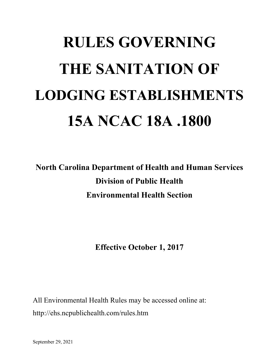# **RULES GOVERNING THE SANITATION OF LODGING ESTABLISHMENTS 15A NCAC 18A .1800**

**North Carolina Department of Health and Human Services Division of Public Health Environmental Health Section**

**Effective October 1, 2017**

All Environmental Health Rules may be accessed online at: http://ehs.ncpublichealth.com/rules.htm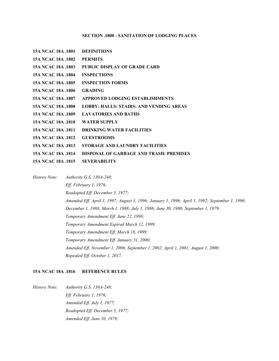# **SECTION .1800 - SANITATION OF LODGING PLACES**

| 15A NCAC 18A .1801        | <b>DEFINITIONS</b>                             |
|---------------------------|------------------------------------------------|
| 15A NCAC 18A .1802        | <b>PERMITS</b>                                 |
| 15A NCAC 18A .1803        | PUBLIC DISPLAY OF GRADE CARD                   |
| 15A NCAC 18A .1804        | <b>INSPECTIONS</b>                             |
| 15A NCAC 18A .1805        | <b>INSPECTION FORMS</b>                        |
| 15A NCAC 18A .1806        | <b>GRADING</b>                                 |
| 15A NCAC 18A .1807        | <b>APPROVED LODGING ESTABLISHMENTS</b>         |
| <b>15A NCAC 18A .1808</b> | <b>LOBBY: HALLS: STAIRS: AND VENDING AREAS</b> |
| 15A NCAC 18A .1809        | <b>LAVATORIES AND BATHS</b>                    |
| <b>15A NCAC 18A .1810</b> | <b>WATER SUPPLY</b>                            |
| 15A NCAC 18A .1811        | <b>DRINKING WATER FACILITIES</b>               |
| <b>15A NCAC 18A .1812</b> | <b>GUESTROOMS</b>                              |
| 15A NCAC 18A .1813        | STORAGE AND LAUNDRY FACILITIES                 |
| <b>15A NCAC 18A .1814</b> | DISPOSAL OF GARBAGE AND TRASH: PREMISES        |
| 15A NCAC 18A .1815        | <b>SEVERABILITY</b>                            |

*History Note: Authority G.S. 130A-248; Eff. February 1, 1976; Readopted Eff. December 5, 1977; Amended Eff. April 1, 1997; August 1, 1996; January 1, 1996; April 1, 1992; September 1, 1990; December 1, 1988; March 1, 1988; July 1, 1986; June 30, 1980; September 1, 1979; Temporary Amendment Eff. June 22, 1998; Temporary Amendment Expired March 12, 1999; Temporary Amendment Eff. March 18, 1999; Temporary Amendment Eff. January 31, 2000; Amended Eff. November 1, 2006; September 1, 2002; April 1, 2001; August 1, 2000; Repealed Eff. October 1, 2017.*

# **15A NCAC 18A .1816 REFERENCE RULES**

*History Note: Authority G.S. 130A-248; Eff. February 1, 1976; Amended Eff. July 1, 1977; Readopted Eff. December 5, 1977; Amended Eff. June 10, 1978;*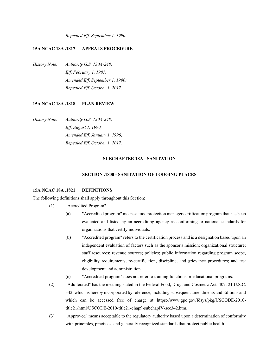*Repealed Eff. September 1, 1990.*

## **15A NCAC 18A .1817 APPEALS PROCEDURE**

*History Note: Authority G.S. 130A-248; Eff. February 1, 1987; Amended Eff. September 1, 1990; Repealed Eff. October 1, 2017.*

## **15A NCAC 18A .1818 PLAN REVIEW**

*History Note: Authority G.S. 130A-248; Eff. August 1, 1990; Amended Eff. January 1, 1996; Repealed Eff. October 1, 2017.*

## **SUBCHAPTER 18A - SANITATION**

#### **SECTION .1800 - SANITATION OF LODGING PLACES**

#### **15A NCAC 18A .1821 DEFINITIONS**

The following definitions shall apply throughout this Section:

- (1) "Accredited Program"
	- (a) "Accredited program" means a food protection manager certification program that has been evaluated and listed by an accrediting agency as conforming to national standards for organizations that certify individuals.
	- (b) "Accredited program" refers to the certification process and is a designation based upon an independent evaluation of factors such as the sponsor's mission; organizational structure; staff resources; revenue sources; policies; public information regarding program scope, eligibility requirements, re-certification, discipline, and grievance procedures; and test development and administration.
	- (c) "Accredited program" does not refer to training functions or educational programs.
- (2) "Adulterated" has the meaning stated in the Federal Food, Drug, and Cosmetic Act, 402, 21 U.S.C. 342, which is hereby incorporated by reference, including subsequent amendments and Editions and which can be accessed free of charge at https://www.gpo.gov/fdsys/pkg/USCODE-2010 title21/html/USCODE-2010-title21-chap9-subchapIV-sec342.htm.
- (3) "Approved" means acceptable to the regulatory authority based upon a determination of conformity with principles, practices, and generally recognized standards that protect public health.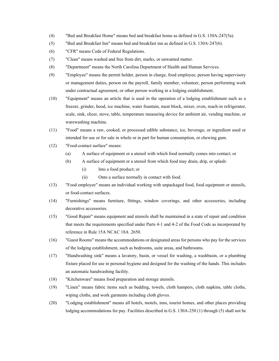- (4) "Bed and Breakfast Home" means bed and breakfast home as defined in G.S. 130A-247(5a).
- (5) "Bed and Breakfast Inn" means bed and breakfast inn as defined in G.S. 130A-247(6).
- (6) "CFR" means Code of Federal Regulations.
- (7) "Clean" means washed and free from dirt, marks, or unwanted matter.
- (8) "Department" means the North Carolina Department of Health and Human Services.
- (9) "Employee" means the permit holder, person in charge, food employee, person having supervisory or management duties, person on the payroll, family member, volunteer, person performing work under contractual agreement, or other person working in a lodging establishment.
- (10) "Equipment" means an article that is used in the operation of a lodging establishment such as a freezer, grinder, hood, ice machine, water fountain, meat block, mixer, oven, reach-in refrigerator, scale, sink, slicer, stove, table, temperature measuring device for ambient air, vending machine, or warewashing machine.
- (11) "Food" means a raw, cooked, or processed edible substance, ice, beverage, or ingredient used or intended for use or for sale in whole or in part for human consumption, or chewing gum.
- (12) "Food-contact surface" means:
	- (a) A surface of equipment or a utensil with which food normally comes into contact; or
	- (b) A surface of equipment or a utensil from which food may drain, drip, or splash:
		- (i) Into a food product; or
		- (ii) Onto a surface normally in contact with food.
- (13) "Food employee" means an individual working with unpackaged food, food equipment or utensils, or food-contact surfaces.
- (14) "Furnishings" means furniture, fittings, window coverings, and other accessories, including decorative accessories.
- (15) "Good Repair" means equipment and utensils shall be maintained in a state of repair and condition that meets the requirements specified under Parts 4-1 and 4-2 of the Food Code as incorporated by reference in Rule 15A NCAC 18A .2650.
- (16) "Guest Rooms" means the accommodations or designated areas for persons who pay for the services of the lodging establishment, such as bedrooms, suite areas, and bathrooms.
- (17) "Handwashing sink" means a lavatory, basin, or vessel for washing, a washbasin, or a plumbing fixture placed for use in personal hygiene and designed for the washing of the hands. This includes an automatic handwashing facility.
- (18) "Kitchenware" means food preparation and storage utensils.
- (19) "Linen" means fabric items such as bedding, towels, cloth hampers, cloth napkins, table cloths, wiping cloths, and work garments including cloth gloves.
- (20) "Lodging establishment" means all hotels, motels, inns, tourist homes, and other places providing lodging accommodations for pay. Facilities described in G.S. 130A-250 (1) through (5) shall not be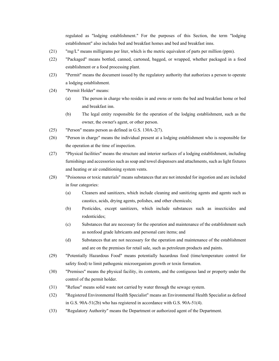regulated as "lodging establishment." For the purposes of this Section, the term "lodging establishment" also includes bed and breakfast homes and bed and breakfast inns.

- (21) "mg/L" means milligrams per liter, which is the metric equivalent of parts per million (ppm).
- (22) "Packaged" means bottled, canned, cartoned, bagged, or wrapped, whether packaged in a food establishment or a food processing plant.
- (23) "Permit" means the document issued by the regulatory authority that authorizes a person to operate a lodging establishment.
- (24) "Permit Holder" means:
	- (a) The person in charge who resides in and owns or rents the bed and breakfast home or bed and breakfast inn.
	- (b) The legal entity responsible for the operation of the lodging establishment, such as the owner, the owner's agent, or other person.
- (25) "Person" means person as defined in G.S. 130A-2(7).
- (26) "Person in charge" means the individual present at a lodging establishment who is responsible for the operation at the time of inspection.
- (27) "Physical facilities" means the structure and interior surfaces of a lodging establishment, including furnishings and accessories such as soap and towel dispensers and attachments, such as light fixtures and heating or air conditioning system vents.
- (28) "Poisonous or toxic materials" means substances that are not intended for ingestion and are included in four categories:
	- (a) Cleaners and sanitizers, which include cleaning and sanitizing agents and agents such as caustics, acids, drying agents, polishes, and other chemicals;
	- (b) Pesticides, except sanitizers, which include substances such as insecticides and rodenticides;
	- (c) Substances that are necessary for the operation and maintenance of the establishment such as nonfood grade lubricants and personal care items; and
	- (d) Substances that are not necessary for the operation and maintenance of the establishment and are on the premises for retail sale, such as petroleum products and paints.
- (29) "Potentially Hazardous Food" means potentially hazardous food (time/temperature control for safety food) to limit pathogenic microorganism growth or toxin formation.
- (30) "Premises" means the physical facility, its contents, and the contiguous land or property under the control of the permit holder.
- (31) "Refuse" means solid waste not carried by water through the sewage system.
- (32) "Registered Environmental Health Specialist" means an Environmental Health Specialist as defined in G.S. 90A-51(2b) who has registered in accordance with G.S. 90A-51(4).
- (33) "Regulatory Authority" means the Department or authorized agent of the Department.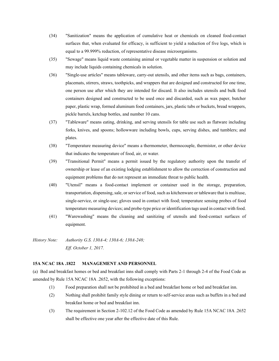- (34) "Sanitization" means the application of cumulative heat or chemicals on cleaned food-contact surfaces that, when evaluated for efficacy, is sufficient to yield a reduction of five logs, which is equal to a 99.999% reduction, of representative disease microorganisms.
- (35) "Sewage" means liquid waste containing animal or vegetable matter in suspension or solution and may include liquids containing chemicals in solution.
- (36) "Single-use articles" means tableware, carry-out utensils, and other items such as bags, containers, placemats, stirrers, straws, toothpicks, and wrappers that are designed and constructed for one time, one person use after which they are intended for discard. It also includes utensils and bulk food containers designed and constructed to be used once and discarded, such as wax paper, butcher paper, plastic wrap, formed aluminum food containers, jars, plastic tubs or buckets, bread wrappers, pickle barrels, ketchup bottles, and number 10 cans.
- (37) "Tableware" means eating, drinking, and serving utensils for table use such as flatware including forks, knives, and spoons; hollowware including bowls, cups, serving dishes, and tumblers; and plates.
- (38) "Temperature measuring device" means a thermometer, thermocouple, thermistor, or other device that indicates the temperature of food, air, or water.
- (39) "Transitional Permit" means a permit issued by the regulatory authority upon the transfer of ownership or lease of an existing lodging establishment to allow the correction of construction and equipment problems that do not represent an immediate threat to public health.
- (40) "Utensil" means a food-contact implement or container used in the storage, preparation, transportation, dispensing, sale, or service of food, such as kitchenware or tableware that is multiuse, single-service, or single-use; gloves used in contact with food; temperature sensing probes of food temperature measuring devices; and probe-type price or identification tags used in contact with food.
- (41) "Warewashing" means the cleaning and sanitizing of utensils and food-contact surfaces of equipment.
- *History Note: Authority G.S. 130A-4; 130A-6; 130A-248; Eff. October 1, 2017.*

## **15A NCAC 18A .1822 MANAGEMENT AND PERSONNEL**

(a) Bed and breakfast homes or bed and breakfast inns shall comply with Parts 2-1 through 2-4 of the Food Code as amended by Rule 15A NCAC 18A .2652, with the following exceptions:

- (1) Food preparation shall not be prohibited in a bed and breakfast home or bed and breakfast inn.
- (2) Nothing shall prohibit family style dining or return to self-service areas such as buffets in a bed and breakfast home or bed and breakfast inn.
- (3) The requirement in Section 2-102.12 of the Food Code as amended by Rule 15A NCAC 18A .2652 shall be effective one year after the effective date of this Rule.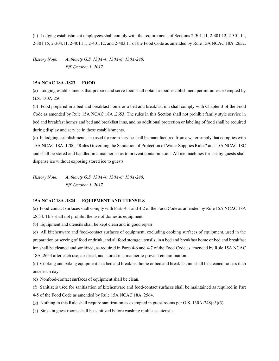(b) Lodging establishment employees shall comply with the requirements of Sections 2-301.11, 2-301.12, 2-301.14, 2-301.15, 2-304.11, 2-401.11, 2-401.12, and 2-403.11 of the Food Code as amended by Rule 15A NCAC 18A .2652.

*History Note: Authority G.S. 130A-4; 130A-6; 130A-248; Eff. October 1, 2017.*

# **15A NCAC 18A .1823 FOOD**

(a) Lodging establishments that prepare and serve food shall obtain a food establishment permit unless exempted by G.S. 130A-250.

(b) Food prepared in a bed and breakfast home or a bed and breakfast inn shall comply with Chapter 3 of the Food Code as amended by Rule 15A NCAC 18A .2653. The rules in this Section shall not prohibit family style service in bed and breakfast homes and bed and breakfast inns, and no additional protection or labeling of food shall be required during display and service in these establishments.

(c) In lodging establishments, ice used for room service shall be manufactured from a water supply that complies with 15A NCAC 18A .1700, "Rules Governing the Sanitation of Protection of Water Supplies Rules" and 15A NCAC 18C and shall be stored and handled in a manner so as to prevent contamination. All ice machines for use by guests shall dispense ice without exposing stored ice to guests.

*History Note: Authority G.S. 130A-4; 130A-6; 130A-248; Eff. October 1, 2017.*

## **15A NCAC 18A .1824 EQUIPMENT AND UTENSILS**

(a) Food-contact surfaces shall comply with Parts 4-1 and 4-2 of the Food Code as amended by Rule 15A NCAC 18A .2654. This shall not prohibit the use of domestic equipment.

(b) Equipment and utensils shall be kept clean and in good repair.

(c) All kitchenware and food-contact surfaces of equipment, excluding cooking surfaces of equipment, used in the preparation or serving of food or drink, and all food storage utensils, in a bed and breakfast home or bed and breakfast inn shall be cleaned and sanitized, as required in Parts 4-6 and 4-7 of the Food Code as amended by Rule 15A NCAC 18A .2654 after each use, air dried, and stored in a manner to prevent contamination.

(d) Cooking and baking equipment in a bed and breakfast home or bed and breakfast inn shall be cleaned no less than once each day.

(e) Nonfood-contact surfaces of equipment shall be clean.

(f) Sanitizers used for sanitization of kitchenware and food-contact surfaces shall be maintained as required in Part

4-5 of the Food Code as amended by Rule 15A NCAC 18A .2564.

- (g) Nothing in this Rule shall require sanitization as exempted in guest rooms per G.S. 130A-248(a3)(3).
- (h) Sinks in guest rooms shall be sanitized before washing multi-use utensils.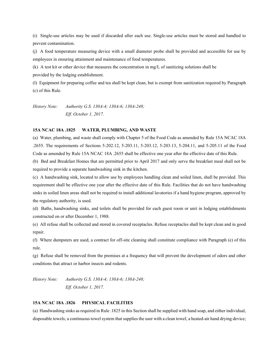(i) Single-use articles may be used if discarded after each use. Single-use articles must be stored and handled to prevent contamination.

(j) A food temperature measuring device with a small diameter probe shall be provided and accessible for use by employees in ensuring attainment and maintenance of food temperatures.

(k) A test kit or other device that measures the concentration in mg/L of sanitizing solutions shall be

provided by the lodging establishment.

(l) Equipment for preparing coffee and tea shall be kept clean, but is exempt from sanitization required by Paragraph (c) of this Rule.

*History Note: Authority G.S. 130A-4; 130A-6; 130A-248; Eff. October 1, 2017.*

#### **15A NCAC 18A .1825 WATER, PLUMBING, AND WASTE**

(a) Water, plumbing, and waste shall comply with Chapter 5 of the Food Code as amended by Rule 15A NCAC 18A .2655. The requirements of Sections 5-202.12, 5-203.11, 5-203.12, 5-203.13, 5-204.11, and 5-205.11 of the Food Code as amended by Rule 15A NCAC 18A .2655 shall be effective one year after the effective date of this Rule.

(b) Bed and Breakfast Homes that are permitted prior to April 2017 and only serve the breakfast meal shall not be required to provide a separate handwashing sink in the kitchen.

(c) A handwashing sink, located to allow use by employees handling clean and soiled linen, shall be provided. This requirement shall be effective one year after the effective date of this Rule. Facilities that do not have handwashing sinks in soiled linen areas shall not be required to install additional lavatories if a hand hygiene program, approved by the regulatory authority, is used.

(d) Baths, handwashing sinks, and toilets shall be provided for each guest room or unit in lodging establishments constructed on or after December 1, 1988.

(e) All refuse shall be collected and stored in covered receptacles. Refuse receptacles shall be kept clean and in good repair.

(f) Where dumpsters are used, a contract for off-site cleaning shall constitute compliance with Paragraph (e) of this rule.

(g) Refuse shall be removed from the premises at a frequency that will prevent the development of odors and other conditions that attract or harbor insects and rodents.

*History Note: Authority G.S. 130A-4; 130A-6; 130A-248; Eff. October 1, 2017.*

# **15A NCAC 18A .1826 PHYSICAL FACILITIES**

(a) Handwashing sinks as required in Rule .1825 in this Section shall be supplied with hand soap, and either individual, disposable towels; a continuous towel system that supplies the user with a clean towel; a heated-air hand drying device;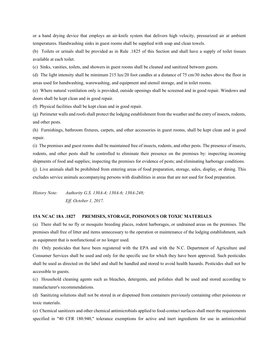or a hand drying device that employs an air-knife system that delivers high velocity, pressurized air at ambient temperatures. Handwashing sinks in guest rooms shall be supplied with soap and clean towels.

(b) Toilets or urinals shall be provided as in Rule .1825 of this Section and shall have a supply of toilet tissues available at each toilet.

(c) Sinks, vanities, toilets, and showers in guest rooms shall be cleaned and sanitized between guests.

(d) The light intensity shall be minimum 215 lux/20 foot candles at a distance of 75 cm/30 inches above the floor in areas used for handwashing, warewashing, and equipment and utensil storage, and in toilet rooms.

(e) Where natural ventilation only is provided, outside openings shall be screened and in good repair. Windows and doors shall be kept clean and in good repair.

(f) Physical facilities shall be kept clean and in good repair.

(g) Perimeter walls and roofs shall protect the lodging establishment from the weather and the entry of insects, rodents, and other pests.

(h) Furnishings, bathroom fixtures, carpets, and other accessories in guest rooms, shall be kept clean and in good repair.

(i) The premises and guest rooms shall be maintained free of insects, rodents, and other pests. The presence of insects, rodents, and other pests shall be controlled to eliminate their presence on the premises by: inspecting incoming shipments of food and supplies; inspecting the premises for evidence of pests; and eliminating harborage conditions.

(j) Live animals shall be prohibited from entering areas of food preparation, storage, sales, display, or dining. This excludes service animals accompanying persons with disabilities in areas that are not used for food preparation.

*History Note: Authority G.S. 130A-4; 130A-6; 130A-248; Eff. October 1, 2017.*

#### **15A NCAC 18A .1827 PREMISES, STORAGE, POISONOUS OR TOXIC MATERIALS**

(a) There shall be no fly or mosquito breeding places, rodent harborages, or undrained areas on the premises. The premises shall free of litter and items unnecessary to the operation or maintenance of the lodging establishment, such as equipment that is nonfunctional or no longer used.

(b) Only pesticides that have been registered with the EPA and with the N.C. Department of Agriculture and Consumer Services shall be used and only for the specific use for which they have been approved. Such pesticides shall be used as directed on the label and shall be handled and stored to avoid health hazards. Pesticides shall not be accessible to guests.

(c) Household cleaning agents such as bleaches, detergents, and polishes shall be used and stored according to manufacturer's recommendations.

(d) Sanitizing solutions shall not be stored in or dispensed from containers previously containing other poisonous or toxic materials.

(e) Chemical sanitizers and other chemical antimicrobials applied to food-contact surfaces shall meet the requirements specified in "40 CFR 180.940," tolerance exemptions for active and inert ingredients for use in antimicrobial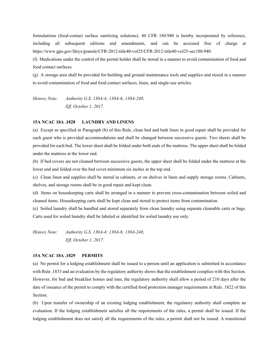formulations (food-contact surface sanitizing solutions). 40 CFR 180.940 is hereby incorporated by reference, including all subsequent editions and amendments, and can be accessed free of charge at https://www.gpo.gov/fdsys/granule/CFR-2012-title40-vol25/CFR-2012-title40-vol25-sec180-940.

(f) Medications under the control of the permit holder shall be stored in a manner to avoid contamination of food and food contact surfaces.

(g) A storage area shall be provided for building and ground maintenance tools and supplies and stored in a manner to avoid contamination of food and food contact surfaces, linen, and single-use articles.

*History Note: Authority G.S. 130A-4; 130A-6; 130A-248; Eff. October 1, 2017.*

#### **15A NCAC 18A .1828 LAUNDRY AND LINENS**

(a) Except as specified in Paragraph (b) of this Rule, clean bed and bath linen in good repair shall be provided for each guest who is provided accommodations and shall be changed between successive guests. Two sheets shall be provided for each bed. The lower sheet shall be folded under both ends of the mattress. The upper sheet shall be folded under the mattress at the lower end.

(b) If bed covers are not cleaned between successive guests, the upper sheet shall be folded under the mattress at the lower end and folded over the bed cover minimum six inches at the top end.

(c) Clean linen and supplies shall be stored in cabinets, or on shelves in linen and supply storage rooms. Cabinets, shelves, and storage rooms shall be in good repair and kept clean.

(d) Items on housekeeping carts shall be arranged in a manner to prevent cross-contamination between soiled and cleaned items. Housekeeping carts shall be kept clean and stored to protect items from contamination.

(e) Soiled laundry shall be handled and stored separately from clean laundry using separate cleanable carts or bags. Carts used for soiled laundry shall be labeled or identified for soiled laundry use only.

*History Note: Authority G.S. 130A-4; 130A-6; 130A-248; Eff. October 1, 2017.*

## **15A NCAC 18A .1829 PERMITS**

(a) No permit for a lodging establishment shall be issued to a person until an application is submitted in accordance with Rule .1833 and an evaluation by the regulatory authority shows that the establishment complies with this Section. However, for bed and breakfast homes and inns, the regulatory authority shall allow a period of 210 days after the date of issuance of the permit to comply with the certified food protection manager requirements in Rule .1822 of this Section.

(b) Upon transfer of ownership of an existing lodging establishment, the regulatory authority shall complete an evaluation. If the lodging establishment satisfies all the requirements of the rules, a permit shall be issued. If the lodging establishment does not satisfy all the requirements of the rules, a permit shall not be issued. A transitional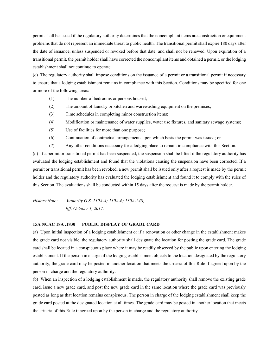permit shall be issued if the regulatory authority determines that the noncompliant items are construction or equipment problems that do not represent an immediate threat to public health. The transitional permit shall expire 180 days after the date of issuance, unless suspended or revoked before that date, and shall not be renewed. Upon expiration of a transitional permit, the permit holder shall have corrected the noncompliant items and obtained a permit, or the lodging establishment shall not continue to operate.

(c) The regulatory authority shall impose conditions on the issuance of a permit or a transitional permit if necessary to ensure that a lodging establishment remains in compliance with this Section. Conditions may be specified for one or more of the following areas:

- (1) The number of bedrooms or persons housed;
- (2) The amount of laundry or kitchen and warewashing equipment on the premises;
- (3) Time schedules in completing minor construction items;
- (4) Modification or maintenance of water supplies, water use fixtures, and sanitary sewage systems;
- (5) Use of facilities for more than one purpose;
- (6) Continuation of contractual arrangements upon which basis the permit was issued; or
- (7) Any other conditions necessary for a lodging place to remain in compliance with this Section.

(d) If a permit or transitional permit has been suspended, the suspension shall be lifted if the regulatory authority has evaluated the lodging establishment and found that the violations causing the suspension have been corrected. If a permit or transitional permit has been revoked, a new permit shall be issued only after a request is made by the permit holder and the regulatory authority has evaluated the lodging establishment and found it to comply with the rules of this Section. The evaluations shall be conducted within 15 days after the request is made by the permit holder.

*History Note: Authority G.S. 130A-4; 130A-6; 130A-248; Eff. October 1, 2017.*

## **15A NCAC 18A .1830 PUBLIC DISPLAY OF GRADE CARD**

(a) Upon initial inspection of a lodging establishment or if a renovation or other change in the establishment makes the grade card not visible, the regulatory authority shall designate the location for posting the grade card. The grade card shall be located in a conspicuous place where it may be readily observed by the public upon entering the lodging establishment. If the person in charge of the lodging establishment objects to the location designated by the regulatory authority, the grade card may be posted in another location that meets the criteria of this Rule if agreed upon by the person in charge and the regulatory authority.

(b) When an inspection of a lodging establishment is made, the regulatory authority shall remove the existing grade card, issue a new grade card, and post the new grade card in the same location where the grade card was previously posted as long as that location remains conspicuous. The person in charge of the lodging establishment shall keep the grade card posted at the designated location at all times. The grade card may be posted in another location that meets the criteria of this Rule if agreed upon by the person in charge and the regulatory authority.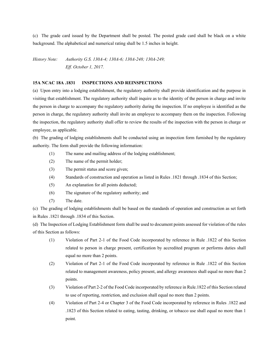(c) The grade card issued by the Department shall be posted. The posted grade card shall be black on a white background. The alphabetical and numerical rating shall be 1.5 inches in height.

*History Note: Authority G.S. 130A-4; 130A-6; 130A-248; 130A-249; Eff. October 1, 2017.*

## **15A NCAC 18A .1831 INSPECTIONS AND REINSPECTIONS**

(a) Upon entry into a lodging establishment, the regulatory authority shall provide identification and the purpose in visiting that establishment. The regulatory authority shall inquire as to the identity of the person in charge and invite the person in charge to accompany the regulatory authority during the inspection. If no employee is identified as the person in charge, the regulatory authority shall invite an employee to accompany them on the inspection. Following the inspection, the regulatory authority shall offer to review the results of the inspection with the person in charge or employee, as applicable.

(b) The grading of lodging establishments shall be conducted using an inspection form furnished by the regulatory authority. The form shall provide the following information:

- (1) The name and mailing address of the lodging establishment;
- (2) The name of the permit holder;
- (3) The permit status and score given;
- (4) Standards of construction and operation as listed in Rules .1821 through .1834 of this Section;
- (5) An explanation for all points deducted;
- (6) The signature of the regulatory authority; and
- (7) The date.

(c) The grading of lodging establishments shall be based on the standards of operation and construction as set forth in Rules .1821 through .1834 of this Section.

(d) The Inspection of Lodging Establishment form shall be used to document points assessed for violation of the rules of this Section as follows:

- (1) Violation of Part 2-1 of the Food Code incorporated by reference in Rule .1822 of this Section related to person in charge present, certification by accredited program or performs duties shall equal no more than 2 points.
- (2) Violation of Part 2-1 of the Food Code incorporated by reference in Rule .1822 of this Section related to management awareness, policy present, and allergy awareness shall equal no more than 2 points.
- (3) Violation of Part 2-2 of the Food Code incorporated by reference in Rule.1822 of this Section related to use of reporting, restriction, and exclusion shall equal no more than 2 points.
- (4) Violation of Part 2-4 or Chapter 3 of the Food Code incorporated by reference in Rules .1822 and .1823 of this Section related to eating, tasting, drinking, or tobacco use shall equal no more than 1 point.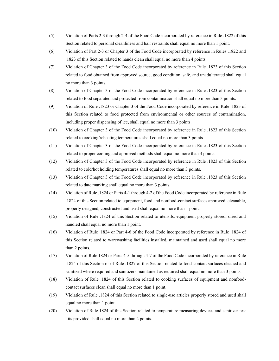- (5) Violation of Parts 2-3 through 2-4 of the Food Code incorporated by reference in Rule .1822 of this Section related to personal cleanliness and hair restraints shall equal no more than 1 point.
- (6) Violation of Part 2-3 or Chapter 3 of the Food Code incorporated by reference in Rules .1822 and .1823 of this Section related to hands clean shall equal no more than 4 points.
- (7) Violation of Chapter 3 of the Food Code incorporated by reference in Rule .1823 of this Section related to food obtained from approved source, good condition, safe, and unadulterated shall equal no more than 3 points.
- (8) Violation of Chapter 3 of the Food Code incorporated by reference in Rule .1823 of this Section related to food separated and protected from contamination shall equal no more than 3 points.
- (9) Violation of Rule .1823 or Chapter 3 of the Food Code incorporated by reference in Rule .1823 of this Section related to food protected from environmental or other sources of contamination, including proper dispensing of ice, shall equal no more than 3 points.
- (10) Violation of Chapter 3 of the Food Code incorporated by reference in Rule .1823 of this Section related to cooking/reheating temperatures shall equal no more than 3 points.
- (11) Violation of Chapter 3 of the Food Code incorporated by reference in Rule .1823 of this Section related to proper cooling and approved methods shall equal no more than 3 points.
- (12) Violation of Chapter 3 of the Food Code incorporated by reference in Rule .1823 of this Section related to cold/hot holding temperatures shall equal no more than 3 points.
- (13) Violation of Chapter 3 of the Food Code incorporated by reference in Rule .1823 of this Section related to date marking shall equal no more than 3 points.
- (14) Violation of Rule .1824 or Parts 4-1 through 4-2 of the Food Code incorporated by reference in Rule .1824 of this Section related to equipment, food and nonfood-contact surfaces approved, cleanable, properly designed, constructed and used shall equal no more than 1 point.
- (15) Violation of Rule .1824 of this Section related to utensils, equipment properly stored, dried and handled shall equal no more than 1 point.
- (16) Violation of Rule .1824 or Part 4-6 of the Food Code incorporated by reference in Rule .1824 of this Section related to warewashing facilities installed, maintained and used shall equal no more than 2 points.
- (17) Violation of Rule 1824 or Parts 4-5 through 4-7 of the Food Code incorporated by reference in Rule .1824 of this Section or of Rule .1827 of this Section related to food-contact surfaces cleaned and sanitized where required and sanitizers maintained as required shall equal no more than 3 points.
- (18) Violation of Rule .1824 of this Section related to cooking surfaces of equipment and nonfoodcontact surfaces clean shall equal no more than 1 point.
- (19) Violation of Rule .1824 of this Section related to single-use articles properly stored and used shall equal no more than 1 point.
- (20) Violation of Rule 1824 of this Section related to temperature measuring devices and sanitizer test kits provided shall equal no more than 2 points.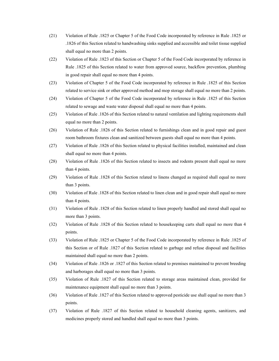- (21) Violation of Rule .1825 or Chapter 5 of the Food Code incorporated by reference in Rule .1825 or .1826 of this Section related to handwashing sinks supplied and accessible and toilet tissue supplied shall equal no more than 2 points.
- (22) Violation of Rule .1823 of this Section or Chapter 5 of the Food Code incorporated by reference in Rule .1825 of this Section related to water from approved source, backflow prevention, plumbing in good repair shall equal no more than 4 points.
- (23) Violation of Chapter 5 of the Food Code incorporated by reference in Rule .1825 of this Section related to service sink or other approved method and mop storage shall equal no more than 2 points.
- (24) Violation of Chapter 5 of the Food Code incorporated by reference in Rule .1825 of this Section related to sewage and waste water disposal shall equal no more than 4 points.
- (25) Violation of Rule .1826 of this Section related to natural ventilation and lighting requirements shall equal no more than 2 points.
- (26) Violation of Rule .1826 of this Section related to furnishings clean and in good repair and guest room bathroom fixtures clean and sanitized between guests shall equal no more than 4 points.
- (27) Violation of Rule .1826 of this Section related to physical facilities installed, maintained and clean shall equal no more than 4 points.
- (28) Violation of Rule .1826 of this Section related to insects and rodents present shall equal no more than 4 points.
- (29) Violation of Rule .1828 of this Section related to linens changed as required shall equal no more than 3 points.
- (30) Violation of Rule .1828 of this Section related to linen clean and in good repair shall equal no more than 4 points.
- (31) Violation of Rule .1828 of this Section related to linen properly handled and stored shall equal no more than 3 points.
- (32) Violation of Rule .1828 of this Section related to housekeeping carts shall equal no more than 4 points.
- (33) Violation of Rule .1825 or Chapter 5 of the Food Code incorporated by reference in Rule .1825 of this Section or of Rule .1827 of this Section related to garbage and refuse disposal and facilities maintained shall equal no more than 2 points.
- (34) Violation of Rule .1826 or .1827 of this Section related to premises maintained to prevent breeding and harborages shall equal no more than 3 points.
- (35) Violation of Rule .1827 of this Section related to storage areas maintained clean, provided for maintenance equipment shall equal no more than 3 points.
- (36) Violation of Rule .1827 of this Section related to approved pesticide use shall equal no more than 3 points.
- (37) Violation of Rule .1827 of this Section related to household cleaning agents, sanitizers, and medicines properly stored and handled shall equal no more than 3 points.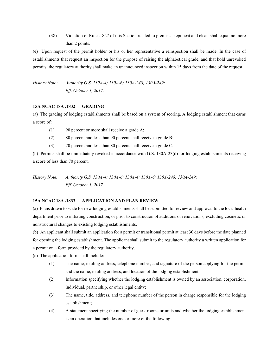(38) Violation of Rule .1827 of this Section related to premises kept neat and clean shall equal no more than 2 points.

(e) Upon request of the permit holder or his or her representative a reinspection shall be made. In the case of establishments that request an inspection for the purpose of raising the alphabetical grade, and that hold unrevoked permits, the regulatory authority shall make an unannounced inspection within 15 days from the date of the request.

*History Note: Authority G.S. 130A-4; 130A-6; 130A-248; 130A-249; Eff. October 1, 2017.*

## **15A NCAC 18A .1832 GRADING**

(a) The grading of lodging establishments shall be based on a system of scoring. A lodging establishment that earns a score of:

- (1) 90 percent or more shall receive a grade A;
- (2) 80 percent and less than 90 percent shall receive a grade B;
- (3) 70 percent and less than 80 percent shall receive a grade C.

(b) Permits shall be immediately revoked in accordance with G.S. 130A-23(d) for lodging establishments receiving a score of less than 70 percent.

*History Note: Authority G.S. 130A-4; 130A-6; 130A-4; 130A-6; 130A-248; 130A-249; Eff. October 1, 2017.*

## **15A NCAC 18A .1833 APPLICATION AND PLAN REVIEW**

(a) Plans drawn to scale for new lodging establishments shall be submitted for review and approval to the local health department prior to initiating construction, or prior to construction of additions or renovations, excluding cosmetic or nonstructural changes to existing lodging establishments.

(b) An applicant shall submit an application for a permit or transitional permit at least 30 days before the date planned for opening the lodging establishment. The applicant shall submit to the regulatory authority a written application for a permit on a form provided by the regulatory authority.

(c) The application form shall include:

- (1) The name, mailing address, telephone number, and signature of the person applying for the permit and the name, mailing address, and location of the lodging establishment;
- (2) Information specifying whether the lodging establishment is owned by an association, corporation, individual, partnership, or other legal entity;
- (3) The name, title, address, and telephone number of the person in charge responsible for the lodging establishment;
- (4) A statement specifying the number of guest rooms or units and whether the lodging establishment is an operation that includes one or more of the following: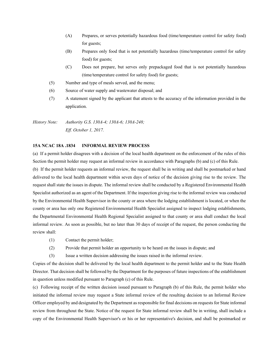- (A) Prepares, or serves potentially hazardous food (time/temperature control for safety food) for guests;
- (B) Prepares only food that is not potentially hazardous (time/temperature control for safety food) for guests;
- (C) Does not prepare, but serves only prepackaged food that is not potentially hazardous (time/temperature control for safety food) for guests;
- (5) Number and type of meals served, and the menu;
- (6) Source of water supply and wastewater disposal; and
- (7) A statement signed by the applicant that attests to the accuracy of the information provided in the application.

*History Note: Authority G.S. 130A-4; 130A-6; 130A-248; Eff. October 1, 2017.*

# **15A NCAC 18A .1834 INFORMAL REVIEW PROCESS**

(a) If a permit holder disagrees with a decision of the local health department on the enforcement of the rules of this Section the permit holder may request an informal review in accordance with Paragraphs (b) and (c) of this Rule.

(b) If the permit holder requests an informal review, the request shall be in writing and shall be postmarked or hand delivered to the local health department within seven days of notice of the decision giving rise to the review. The request shall state the issues in dispute. The informal review shall be conducted by a Registered Environmental Health Specialist authorized as an agent of the Department. If the inspection giving rise to the informal review was conducted by the Environmental Health Supervisor in the county or area where the lodging establishment is located, or when the county or area has only one Registered Environmental Health Specialist assigned to inspect lodging establishments, the Departmental Environmental Health Regional Specialist assigned to that county or area shall conduct the local informal review. As soon as possible, but no later than 30 days of receipt of the request, the person conducting the review shall:

- (1) Contact the permit holder;
- (2) Provide that permit holder an opportunity to be heard on the issues in dispute; and
- (3) Issue a written decision addressing the issues raised in the informal review.

Copies of the decision shall be delivered by the local health department to the permit holder and to the State Health Director. That decision shall be followed by the Department for the purposes of future inspections of the establishment in question unless modified pursuant to Paragraph (c) of this Rule.

(c) Following receipt of the written decision issued pursuant to Paragraph (b) of this Rule, the permit holder who initiated the informal review may request a State informal review of the resulting decision to an Informal Review Officer employed by and designated by the Department as responsible for final decisions on requests for State informal review from throughout the State. Notice of the request for State informal review shall be in writing, shall include a copy of the Environmental Health Supervisor's or his or her representative's decision, and shall be postmarked or